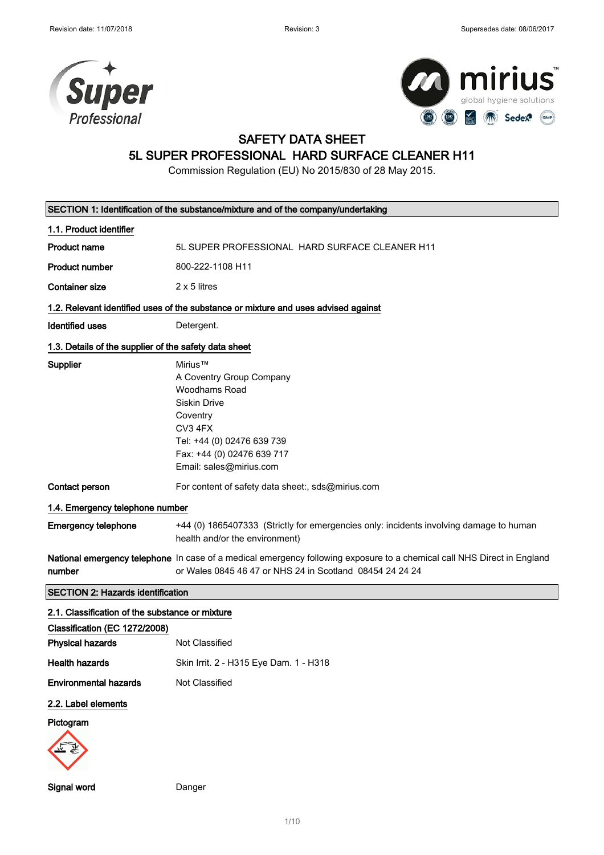



## SAFETY DATA SHEET

## 5L SUPER PROFESSIONAL HARD SURFACE CLEANER H11

Commission Regulation (EU) No 2015/830 of 28 May 2015.

|                                                       | SECTION 1: Identification of the substance/mixture and of the company/undertaking                                                                                                   |  |  |
|-------------------------------------------------------|-------------------------------------------------------------------------------------------------------------------------------------------------------------------------------------|--|--|
| 1.1. Product identifier                               |                                                                                                                                                                                     |  |  |
| <b>Product name</b>                                   | 5L SUPER PROFESSIONAL HARD SURFACE CLEANER H11                                                                                                                                      |  |  |
| <b>Product number</b>                                 | 800-222-1108 H11                                                                                                                                                                    |  |  |
| <b>Container size</b>                                 | $2 \times 5$ litres                                                                                                                                                                 |  |  |
|                                                       | 1.2. Relevant identified uses of the substance or mixture and uses advised against                                                                                                  |  |  |
| <b>Identified uses</b>                                | Detergent.                                                                                                                                                                          |  |  |
| 1.3. Details of the supplier of the safety data sheet |                                                                                                                                                                                     |  |  |
| Supplier                                              | Mirius™<br>A Coventry Group Company<br>Woodhams Road<br>Siskin Drive<br>Coventry<br>CV3 4FX<br>Tel: +44 (0) 02476 639 739<br>Fax: +44 (0) 02476 639 717<br>Email: sales@mirius.com  |  |  |
| Contact person                                        | For content of safety data sheet:, sds@mirius.com                                                                                                                                   |  |  |
| 1.4. Emergency telephone number                       |                                                                                                                                                                                     |  |  |
| <b>Emergency telephone</b>                            | +44 (0) 1865407333 (Strictly for emergencies only: incidents involving damage to human<br>health and/or the environment)                                                            |  |  |
| number                                                | National emergency telephone In case of a medical emergency following exposure to a chemical call NHS Direct in England<br>or Wales 0845 46 47 or NHS 24 in Scotland 08454 24 24 24 |  |  |
| <b>SECTION 2: Hazards identification</b>              |                                                                                                                                                                                     |  |  |
| 2.1. Classification of the substance or mixture       |                                                                                                                                                                                     |  |  |
| Classification (EC 1272/2008)                         |                                                                                                                                                                                     |  |  |
| <b>Physical hazards</b>                               | Not Classified                                                                                                                                                                      |  |  |
| <b>Health hazards</b>                                 | Skin Irrit. 2 - H315 Eye Dam. 1 - H318                                                                                                                                              |  |  |
| <b>Environmental hazards</b>                          | Not Classified                                                                                                                                                                      |  |  |
| 2.2. Label elements                                   |                                                                                                                                                                                     |  |  |
| Pictogram                                             |                                                                                                                                                                                     |  |  |
|                                                       |                                                                                                                                                                                     |  |  |

Signal word Danger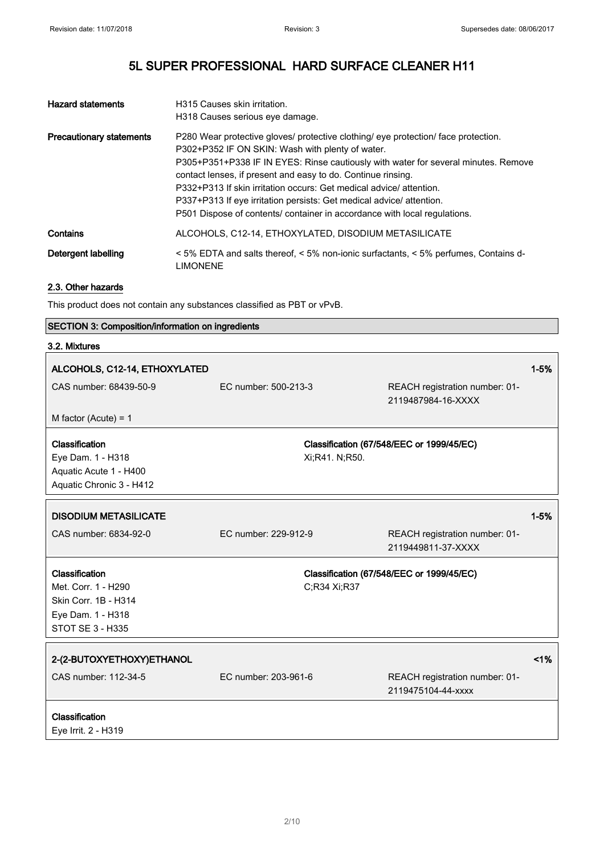| <b>Hazard statements</b>        | H315 Causes skin irritation.<br>H318 Causes serious eye damage.                                                                                                                                                                                                                                                                                                                                                                                                                                                         |
|---------------------------------|-------------------------------------------------------------------------------------------------------------------------------------------------------------------------------------------------------------------------------------------------------------------------------------------------------------------------------------------------------------------------------------------------------------------------------------------------------------------------------------------------------------------------|
| <b>Precautionary statements</b> | P280 Wear protective gloves/ protective clothing/ eye protection/ face protection.<br>P302+P352 IF ON SKIN: Wash with plenty of water.<br>P305+P351+P338 IF IN EYES: Rinse cautiously with water for several minutes. Remove<br>contact lenses, if present and easy to do. Continue rinsing.<br>P332+P313 If skin irritation occurs: Get medical advice/attention.<br>P337+P313 If eye irritation persists: Get medical advice/ attention.<br>P501 Dispose of contents/ container in accordance with local regulations. |
| Contains                        | ALCOHOLS, C12-14, ETHOXYLATED, DISODIUM METASILICATE                                                                                                                                                                                                                                                                                                                                                                                                                                                                    |
| Detergent labelling             | $\leq$ 5% EDTA and salts thereof, $\leq$ 5% non-ionic surfactants, $\leq$ 5% perfumes, Contains d-<br>LIMONENE                                                                                                                                                                                                                                                                                                                                                                                                          |

#### 2.3. Other hazards

This product does not contain any substances classified as PBT or vPvB.

### SECTION 3: Composition/information on ingredients 3.2. Mixtures ALCOHOLS, C12-14, ETHOXYLATED 2008 12:00 12:00 12:00 12:00 12:00 13:00 13:00 14:00 14:00 14:00 14:00 14:00 14:0 CAS number: 68439-50-9 EC number: 500-213-3 REACH registration number: 01- 2119487984-16-XXXX M factor (Acute) = 1 **Classification** Eye Dam. 1 - H318 Aquatic Acute 1 - H400 Aquatic Chronic 3 - H412 Classification (67/548/EEC or 1999/45/EC) Xi;R41. N;R50. DISODIUM METASILICATE **1999 - 1999 - 1999 - 1999 - 1999 - 1999 - 1999 - 1999 - 1999 - 1999 - 1999 - 1999 - 199** CAS number: 6834-92-0 EC number: 229-912-9 REACH registration number: 01- 2119449811-37-XXXX **Classification** Met. Corr. 1 - H290 Skin Corr. 1B - H314 Eye Dam. 1 - H318 STOT SE 3 - H335 Classification (67/548/EEC or 1999/45/EC) C;R34 Xi;R37 2-(2-BUTOXYETHOXY)ETHANOL <1% CAS number: 112-34-5 EC number: 203-961-6 REACH registration number: 01- 2119475104-44-xxxx **Classification** Eye Irrit. 2 - H319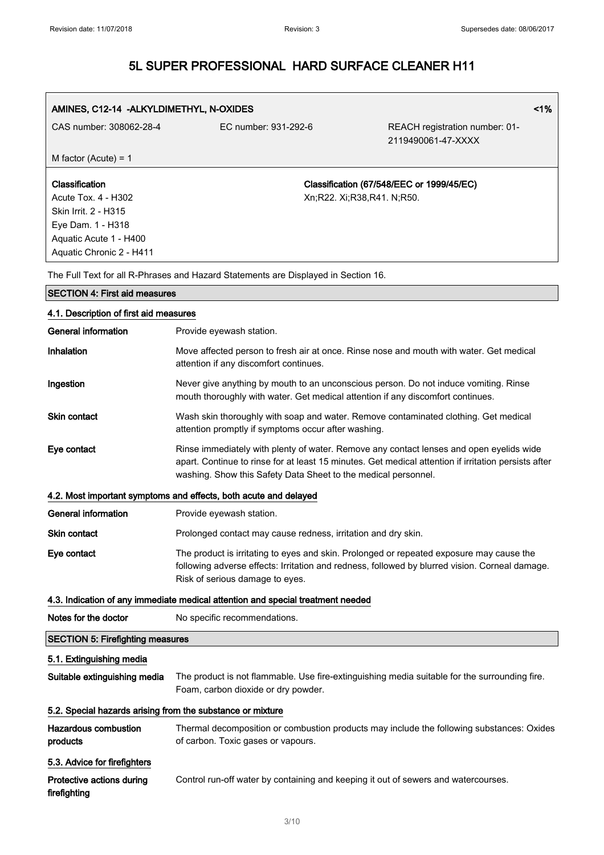AMINES, C12-14 -ALKYLDIMETHYL, N-OXIDES <1% and the state of the state of the state of the state of the state of the state of the state of the state of the state of the state of the state of the state of the state of the s

| CAS number: 308062-28-4                                                                                                                  | EC number: 931-292-6                                                               | REACH registration number: 01-<br>2119490061-47-XXXX                                                                                                                                            |
|------------------------------------------------------------------------------------------------------------------------------------------|------------------------------------------------------------------------------------|-------------------------------------------------------------------------------------------------------------------------------------------------------------------------------------------------|
| M factor (Acute) = $1$                                                                                                                   |                                                                                    |                                                                                                                                                                                                 |
| Classification<br>Acute Tox. 4 - H302<br>Skin Irrit. 2 - H315<br>Eye Dam. 1 - H318<br>Aquatic Acute 1 - H400<br>Aquatic Chronic 2 - H411 |                                                                                    | Classification (67/548/EEC or 1999/45/EC)<br>Xn;R22. Xi;R38,R41. N;R50.                                                                                                                         |
|                                                                                                                                          | The Full Text for all R-Phrases and Hazard Statements are Displayed in Section 16. |                                                                                                                                                                                                 |
| <b>SECTION 4: First aid measures</b>                                                                                                     |                                                                                    |                                                                                                                                                                                                 |
| 4.1. Description of first aid measures                                                                                                   |                                                                                    |                                                                                                                                                                                                 |
| <b>General information</b>                                                                                                               | Provide eyewash station.                                                           |                                                                                                                                                                                                 |
| Inhalation                                                                                                                               | attention if any discomfort continues.                                             | Move affected person to fresh air at once. Rinse nose and mouth with water. Get medical                                                                                                         |
| Ingestion                                                                                                                                | mouth thoroughly with water. Get medical attention if any discomfort continues.    | Never give anything by mouth to an unconscious person. Do not induce vomiting. Rinse                                                                                                            |
| <b>Skin contact</b>                                                                                                                      | attention promptly if symptoms occur after washing.                                | Wash skin thoroughly with soap and water. Remove contaminated clothing. Get medical                                                                                                             |
| Eye contact                                                                                                                              | washing. Show this Safety Data Sheet to the medical personnel.                     | Rinse immediately with plenty of water. Remove any contact lenses and open eyelids wide<br>apart. Continue to rinse for at least 15 minutes. Get medical attention if irritation persists after |
|                                                                                                                                          | 4.2. Most important symptoms and effects, both acute and delayed                   |                                                                                                                                                                                                 |
| <b>General information</b>                                                                                                               | Provide eyewash station.                                                           |                                                                                                                                                                                                 |
| Skin contact                                                                                                                             | Prolonged contact may cause redness, irritation and dry skin.                      |                                                                                                                                                                                                 |
| Eye contact                                                                                                                              | Risk of serious damage to eyes.                                                    | The product is irritating to eyes and skin. Prolonged or repeated exposure may cause the<br>following adverse effects: Irritation and redness, followed by blurred vision. Corneal damage.      |
|                                                                                                                                          | 4.3. Indication of any immediate medical attention and special treatment needed    |                                                                                                                                                                                                 |
| Notes for the doctor                                                                                                                     | No specific recommendations.                                                       |                                                                                                                                                                                                 |
| <b>SECTION 5: Firefighting measures</b>                                                                                                  |                                                                                    |                                                                                                                                                                                                 |
| 5.1. Extinguishing media                                                                                                                 |                                                                                    |                                                                                                                                                                                                 |
| Suitable extinguishing media                                                                                                             | Foam, carbon dioxide or dry powder.                                                | The product is not flammable. Use fire-extinguishing media suitable for the surrounding fire.                                                                                                   |
| 5.2. Special hazards arising from the substance or mixture                                                                               |                                                                                    |                                                                                                                                                                                                 |
| <b>Hazardous combustion</b><br>products                                                                                                  | of carbon. Toxic gases or vapours.                                                 | Thermal decomposition or combustion products may include the following substances: Oxides                                                                                                       |
| 5.3. Advice for firefighters                                                                                                             |                                                                                    |                                                                                                                                                                                                 |
| Protective actions during<br>firefighting                                                                                                | Control run-off water by containing and keeping it out of sewers and watercourses. |                                                                                                                                                                                                 |

3/ 10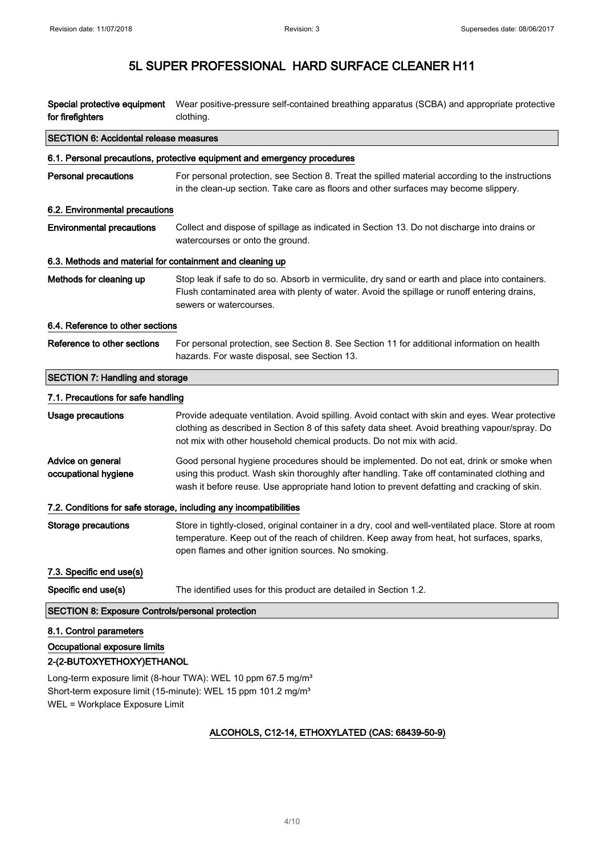| Special protective equipment<br>for firefighters          | Wear positive-pressure self-contained breathing apparatus (SCBA) and appropriate protective<br>clothing.                                                                                                                                                                               |
|-----------------------------------------------------------|----------------------------------------------------------------------------------------------------------------------------------------------------------------------------------------------------------------------------------------------------------------------------------------|
| <b>SECTION 6: Accidental release measures</b>             |                                                                                                                                                                                                                                                                                        |
|                                                           | 6.1. Personal precautions, protective equipment and emergency procedures                                                                                                                                                                                                               |
| <b>Personal precautions</b>                               | For personal protection, see Section 8. Treat the spilled material according to the instructions<br>in the clean-up section. Take care as floors and other surfaces may become slippery.                                                                                               |
| 6.2. Environmental precautions                            |                                                                                                                                                                                                                                                                                        |
| <b>Environmental precautions</b>                          | Collect and dispose of spillage as indicated in Section 13. Do not discharge into drains or<br>watercourses or onto the ground.                                                                                                                                                        |
| 6.3. Methods and material for containment and cleaning up |                                                                                                                                                                                                                                                                                        |
| Methods for cleaning up                                   | Stop leak if safe to do so. Absorb in vermiculite, dry sand or earth and place into containers.<br>Flush contaminated area with plenty of water. Avoid the spillage or runoff entering drains,<br>sewers or watercourses.                                                              |
| 6.4. Reference to other sections                          |                                                                                                                                                                                                                                                                                        |
| Reference to other sections                               | For personal protection, see Section 8. See Section 11 for additional information on health<br>hazards. For waste disposal, see Section 13.                                                                                                                                            |
| <b>SECTION 7: Handling and storage</b>                    |                                                                                                                                                                                                                                                                                        |
| 7.1. Precautions for safe handling                        |                                                                                                                                                                                                                                                                                        |
| Usage precautions                                         | Provide adequate ventilation. Avoid spilling. Avoid contact with skin and eyes. Wear protective<br>clothing as described in Section 8 of this safety data sheet. Avoid breathing vapour/spray. Do<br>not mix with other household chemical products. Do not mix with acid.             |
| Advice on general<br>occupational hygiene                 | Good personal hygiene procedures should be implemented. Do not eat, drink or smoke when<br>using this product. Wash skin thoroughly after handling. Take off contaminated clothing and<br>wash it before reuse. Use appropriate hand lotion to prevent defatting and cracking of skin. |
|                                                           | 7.2. Conditions for safe storage, including any incompatibilities                                                                                                                                                                                                                      |
| <b>Storage precautions</b>                                | Store in tightly-closed, original container in a dry, cool and well-ventilated place. Store at room<br>temperature. Keep out of the reach of children. Keep away from heat, hot surfaces, sparks,<br>open flames and other ignition sources. No smoking.                               |
| 7.3. Specific end use(s)                                  |                                                                                                                                                                                                                                                                                        |
| Specific end use(s)                                       | The identified uses for this product are detailed in Section 1.2.                                                                                                                                                                                                                      |
| <b>SECTION 8: Exposure Controls/personal protection</b>   |                                                                                                                                                                                                                                                                                        |
| 8.1. Control parameters                                   |                                                                                                                                                                                                                                                                                        |
| Occupational exposure limits<br>2-(2-BUTOXYETHOXY)ETHANOL |                                                                                                                                                                                                                                                                                        |
|                                                           | Long-term exposure limit (8-hour TWA): WEL 10 ppm 67.5 mg/m <sup>3</sup>                                                                                                                                                                                                               |

Short-term exposure limit (15-minute): WEL 15 ppm 101.2 mg/m<sup>3</sup> WEL = Workplace Exposure Limit

### ALCOHOLS, C12-14, ETHOXYLATED (CAS: 68439-50-9)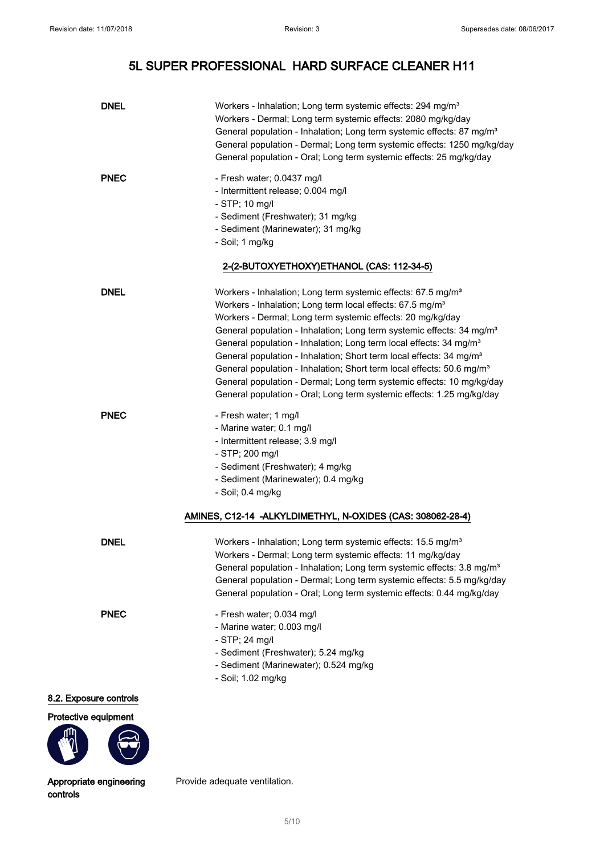| <b>DNEL</b>   | Workers - Inhalation; Long term systemic effects: 294 mg/m <sup>3</sup><br>Workers - Dermal; Long term systemic effects: 2080 mg/kg/day<br>General population - Inhalation; Long term systemic effects: 87 mg/m <sup>3</sup><br>General population - Dermal; Long term systemic effects: 1250 mg/kg/day<br>General population - Oral; Long term systemic effects: 25 mg/kg/day                                                                                                                                                                                                                                                                                                                                   |
|---------------|------------------------------------------------------------------------------------------------------------------------------------------------------------------------------------------------------------------------------------------------------------------------------------------------------------------------------------------------------------------------------------------------------------------------------------------------------------------------------------------------------------------------------------------------------------------------------------------------------------------------------------------------------------------------------------------------------------------|
| <b>PNEC</b>   | - Fresh water; 0.0437 mg/l<br>- Intermittent release; 0.004 mg/l<br>- STP; 10 mg/l<br>- Sediment (Freshwater); 31 mg/kg<br>- Sediment (Marinewater); 31 mg/kg<br>- Soil; 1 mg/kg                                                                                                                                                                                                                                                                                                                                                                                                                                                                                                                                 |
|               | 2-(2-BUTOXYETHOXY)ETHANOL (CAS: 112-34-5)                                                                                                                                                                                                                                                                                                                                                                                                                                                                                                                                                                                                                                                                        |
| <b>DNEL</b>   | Workers - Inhalation; Long term systemic effects: 67.5 mg/m <sup>3</sup><br>Workers - Inhalation; Long term local effects: 67.5 mg/m <sup>3</sup><br>Workers - Dermal; Long term systemic effects: 20 mg/kg/day<br>General population - Inhalation; Long term systemic effects: 34 mg/m <sup>3</sup><br>General population - Inhalation; Long term local effects: 34 mg/m <sup>3</sup><br>General population - Inhalation; Short term local effects: 34 mg/m <sup>3</sup><br>General population - Inhalation; Short term local effects: 50.6 mg/m <sup>3</sup><br>General population - Dermal; Long term systemic effects: 10 mg/kg/day<br>General population - Oral; Long term systemic effects: 1.25 mg/kg/day |
| <b>PNEC</b>   | - Fresh water; 1 mg/l<br>- Marine water; 0.1 mg/l<br>- Intermittent release; 3.9 mg/l<br>- STP; 200 mg/l<br>- Sediment (Freshwater); 4 mg/kg<br>- Sediment (Marinewater); 0.4 mg/kg<br>- Soil; 0.4 mg/kg                                                                                                                                                                                                                                                                                                                                                                                                                                                                                                         |
|               | AMINES, C12-14 -ALKYLDIMETHYL, N-OXIDES (CAS: 308062-28-4)                                                                                                                                                                                                                                                                                                                                                                                                                                                                                                                                                                                                                                                       |
| <b>DNEL</b>   | Workers - Inhalation; Long term systemic effects: 15.5 mg/m <sup>3</sup><br>Workers - Dermal; Long term systemic effects: 11 mg/kg/day<br>General population - Inhalation; Long term systemic effects: 3.8 mg/m <sup>3</sup><br>General population - Dermal; Long term systemic effects: 5.5 mg/kg/day<br>General population - Oral; Long term systemic effects: 0.44 mg/kg/day                                                                                                                                                                                                                                                                                                                                  |
| <b>PNEC</b>   | - Fresh water; 0.034 mg/l<br>- Marine water; 0.003 mg/l<br>$-$ STP; 24 mg/l<br>- Sediment (Freshwater); 5.24 mg/kg<br>- Sediment (Marinewater); 0.524 mg/kg<br>- Soil; 1.02 mg/kg                                                                                                                                                                                                                                                                                                                                                                                                                                                                                                                                |
| sure controls |                                                                                                                                                                                                                                                                                                                                                                                                                                                                                                                                                                                                                                                                                                                  |
| a aguinmant   |                                                                                                                                                                                                                                                                                                                                                                                                                                                                                                                                                                                                                                                                                                                  |

### 8.2. Expos

Protective



Appropriate engineering controls

Provide adequate ventilation.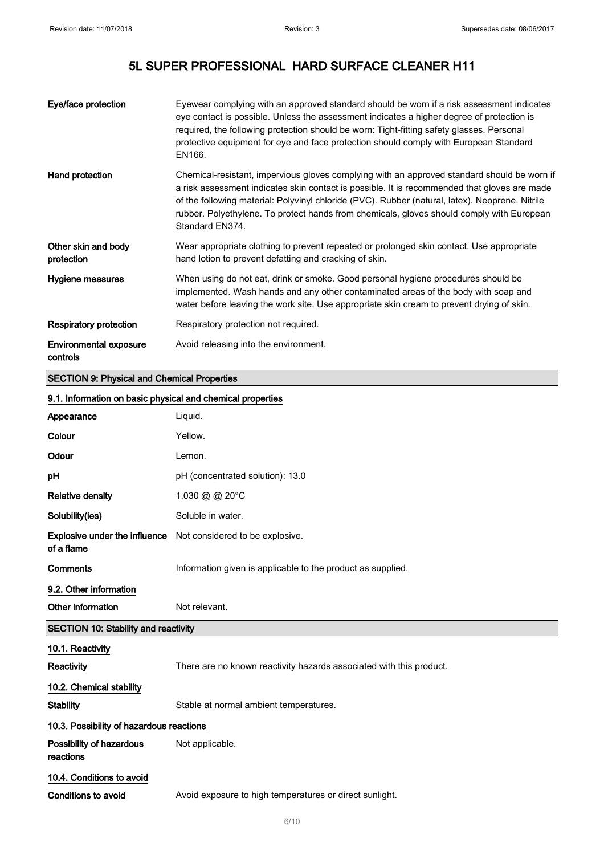| Eye/face protection                                | Eyewear complying with an approved standard should be worn if a risk assessment indicates<br>eye contact is possible. Unless the assessment indicates a higher degree of protection is<br>required, the following protection should be worn: Tight-fitting safety glasses. Personal<br>protective equipment for eye and face protection should comply with European Standard<br>EN166.                         |  |  |
|----------------------------------------------------|----------------------------------------------------------------------------------------------------------------------------------------------------------------------------------------------------------------------------------------------------------------------------------------------------------------------------------------------------------------------------------------------------------------|--|--|
| Hand protection                                    | Chemical-resistant, impervious gloves complying with an approved standard should be worn if<br>a risk assessment indicates skin contact is possible. It is recommended that gloves are made<br>of the following material: Polyvinyl chloride (PVC). Rubber (natural, latex). Neoprene. Nitrile<br>rubber. Polyethylene. To protect hands from chemicals, gloves should comply with European<br>Standard EN374. |  |  |
| Other skin and body<br>protection                  | Wear appropriate clothing to prevent repeated or prolonged skin contact. Use appropriate<br>hand lotion to prevent defatting and cracking of skin.                                                                                                                                                                                                                                                             |  |  |
| Hygiene measures                                   | When using do not eat, drink or smoke. Good personal hygiene procedures should be<br>implemented. Wash hands and any other contaminated areas of the body with soap and<br>water before leaving the work site. Use appropriate skin cream to prevent drying of skin.                                                                                                                                           |  |  |
| <b>Respiratory protection</b>                      | Respiratory protection not required.                                                                                                                                                                                                                                                                                                                                                                           |  |  |
| <b>Environmental exposure</b><br>controls          | Avoid releasing into the environment.                                                                                                                                                                                                                                                                                                                                                                          |  |  |
| <b>SECTION 9: Physical and Chemical Properties</b> |                                                                                                                                                                                                                                                                                                                                                                                                                |  |  |
|                                                    | 9.1. Information on basic physical and chemical properties                                                                                                                                                                                                                                                                                                                                                     |  |  |
| Appearance                                         | Liquid.                                                                                                                                                                                                                                                                                                                                                                                                        |  |  |
| Colour                                             | Yellow.                                                                                                                                                                                                                                                                                                                                                                                                        |  |  |
| Odour                                              | Lemon.                                                                                                                                                                                                                                                                                                                                                                                                         |  |  |
| рH                                                 | pH (concentrated solution): 13.0                                                                                                                                                                                                                                                                                                                                                                               |  |  |
| <b>Relative density</b>                            | 1.030 @ @ 20°C                                                                                                                                                                                                                                                                                                                                                                                                 |  |  |
| Solubility(ies)                                    | Soluble in water.                                                                                                                                                                                                                                                                                                                                                                                              |  |  |

| of a flame                                  | <b>Explosive under the influence</b> Not considered to be explosive. |
|---------------------------------------------|----------------------------------------------------------------------|
| Comments                                    | Information given is applicable to the product as supplied.          |
| 9.2. Other information                      |                                                                      |
| Other information                           | Not relevant.                                                        |
| <b>SECTION 10: Stability and reactivity</b> |                                                                      |
| 10.1. Reactivity                            |                                                                      |
| Reactivity                                  | There are no known reactivity hazards associated with this product.  |
| 10.2. Chemical stability                    |                                                                      |
| Stability                                   | Stable at normal ambient temperatures.                               |
| 10.3. Possibility of hazardous reactions    |                                                                      |

Possibility of hazardous reactions Not applicable. 10.4. Conditions to avoid

Conditions to avoid **Avoid exposure to high temperatures or direct sunlight.**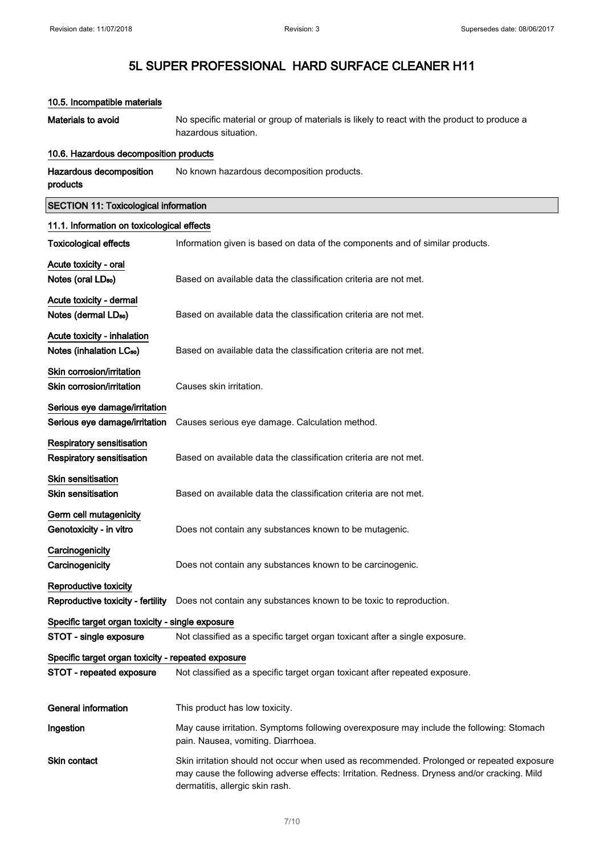| 10.5. Incompatible materials                       |                                                                                                                                                                                                                             |
|----------------------------------------------------|-----------------------------------------------------------------------------------------------------------------------------------------------------------------------------------------------------------------------------|
| Materials to avoid                                 | No specific material or group of materials is likely to react with the product to produce a<br>hazardous situation.                                                                                                         |
| 10.6. Hazardous decomposition products             |                                                                                                                                                                                                                             |
| Hazardous decomposition<br>products                | No known hazardous decomposition products.                                                                                                                                                                                  |
| <b>SECTION 11: Toxicological information</b>       |                                                                                                                                                                                                                             |
| 11.1. Information on toxicological effects         |                                                                                                                                                                                                                             |
| <b>Toxicological effects</b>                       | Information given is based on data of the components and of similar products.                                                                                                                                               |
| Acute toxicity - oral                              |                                                                                                                                                                                                                             |
| Notes (oral LD <sub>50</sub> )                     | Based on available data the classification criteria are not met.                                                                                                                                                            |
| Acute toxicity - dermal                            |                                                                                                                                                                                                                             |
| Notes (dermal LD <sub>50</sub> )                   | Based on available data the classification criteria are not met.                                                                                                                                                            |
| Acute toxicity - inhalation                        |                                                                                                                                                                                                                             |
| Notes (inhalation LC <sub>50</sub> )               | Based on available data the classification criteria are not met.                                                                                                                                                            |
| Skin corrosion/irritation                          |                                                                                                                                                                                                                             |
| Skin corrosion/irritation                          | Causes skin irritation.                                                                                                                                                                                                     |
| Serious eye damage/irritation                      |                                                                                                                                                                                                                             |
| Serious eye damage/irritation                      | Causes serious eye damage. Calculation method.                                                                                                                                                                              |
| <b>Respiratory sensitisation</b>                   |                                                                                                                                                                                                                             |
| <b>Respiratory sensitisation</b>                   | Based on available data the classification criteria are not met.                                                                                                                                                            |
| Skin sensitisation                                 |                                                                                                                                                                                                                             |
| <b>Skin sensitisation</b>                          | Based on available data the classification criteria are not met.                                                                                                                                                            |
| Germ cell mutagenicity                             |                                                                                                                                                                                                                             |
| Genotoxicity - in vitro                            | Does not contain any substances known to be mutagenic.                                                                                                                                                                      |
| Carcinogenicity                                    |                                                                                                                                                                                                                             |
| Carcinogenicity                                    | Does not contain any substances known to be carcinogenic.                                                                                                                                                                   |
| Reproductive toxicity                              |                                                                                                                                                                                                                             |
| Reproductive toxicity - fertility                  | Does not contain any substances known to be toxic to reproduction.                                                                                                                                                          |
| Specific target organ toxicity - single exposure   |                                                                                                                                                                                                                             |
| STOT - single exposure                             | Not classified as a specific target organ toxicant after a single exposure.                                                                                                                                                 |
| Specific target organ toxicity - repeated exposure |                                                                                                                                                                                                                             |
| STOT - repeated exposure                           | Not classified as a specific target organ toxicant after repeated exposure.                                                                                                                                                 |
| <b>General information</b>                         | This product has low toxicity.                                                                                                                                                                                              |
| Ingestion                                          | May cause irritation. Symptoms following overexposure may include the following: Stomach<br>pain. Nausea, vomiting. Diarrhoea.                                                                                              |
| Skin contact                                       | Skin irritation should not occur when used as recommended. Prolonged or repeated exposure<br>may cause the following adverse effects: Irritation. Redness. Dryness and/or cracking. Mild<br>dermatitis, allergic skin rash. |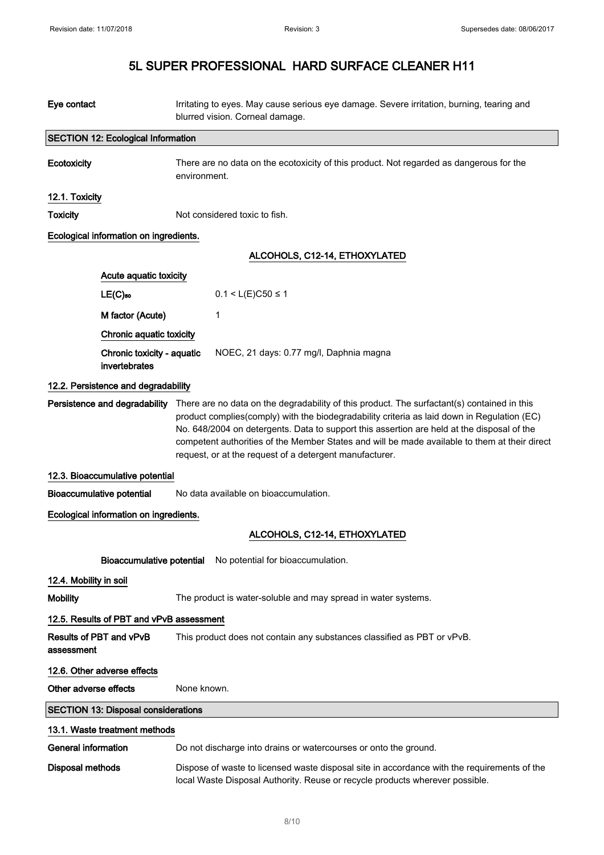| Eye contact            |                                             | Irritating to eyes. May cause serious eye damage. Severe irritation, burning, tearing and<br>blurred vision. Corneal damage.                                                                                                                                                                                                                                                                                                                         |
|------------------------|---------------------------------------------|------------------------------------------------------------------------------------------------------------------------------------------------------------------------------------------------------------------------------------------------------------------------------------------------------------------------------------------------------------------------------------------------------------------------------------------------------|
|                        | <b>SECTION 12: Ecological Information</b>   |                                                                                                                                                                                                                                                                                                                                                                                                                                                      |
| Ecotoxicity            |                                             | There are no data on the ecotoxicity of this product. Not regarded as dangerous for the<br>environment.                                                                                                                                                                                                                                                                                                                                              |
| 12.1. Toxicity         |                                             |                                                                                                                                                                                                                                                                                                                                                                                                                                                      |
| <b>Toxicity</b>        |                                             | Not considered toxic to fish.                                                                                                                                                                                                                                                                                                                                                                                                                        |
|                        | Ecological information on ingredients.      |                                                                                                                                                                                                                                                                                                                                                                                                                                                      |
|                        |                                             | ALCOHOLS, C12-14, ETHOXYLATED                                                                                                                                                                                                                                                                                                                                                                                                                        |
|                        | Acute aquatic toxicity                      |                                                                                                                                                                                                                                                                                                                                                                                                                                                      |
|                        | $LE(C)$ <sub>50</sub>                       | $0.1 < L(E)$ C50 ≤ 1                                                                                                                                                                                                                                                                                                                                                                                                                                 |
|                        | M factor (Acute)                            | 1                                                                                                                                                                                                                                                                                                                                                                                                                                                    |
|                        | Chronic aquatic toxicity                    |                                                                                                                                                                                                                                                                                                                                                                                                                                                      |
|                        | Chronic toxicity - aquatic<br>invertebrates | NOEC, 21 days: 0.77 mg/l, Daphnia magna                                                                                                                                                                                                                                                                                                                                                                                                              |
|                        | 12.2. Persistence and degradability         |                                                                                                                                                                                                                                                                                                                                                                                                                                                      |
|                        | Persistence and degradability               | There are no data on the degradability of this product. The surfactant(s) contained in this<br>product complies(comply) with the biodegradability criteria as laid down in Regulation (EC)<br>No. 648/2004 on detergents. Data to support this assertion are held at the disposal of the<br>competent authorities of the Member States and will be made available to them at their direct<br>request, or at the request of a detergent manufacturer. |
|                        | 12.3. Bioaccumulative potential             |                                                                                                                                                                                                                                                                                                                                                                                                                                                      |
|                        | <b>Bioaccumulative potential</b>            | No data available on bioaccumulation.                                                                                                                                                                                                                                                                                                                                                                                                                |
|                        | Ecological information on ingredients.      |                                                                                                                                                                                                                                                                                                                                                                                                                                                      |
|                        |                                             | ALCOHOLS, C12-14, ETHOXYLATED                                                                                                                                                                                                                                                                                                                                                                                                                        |
|                        | <b>Bioaccumulative potential</b>            | No potential for bioaccumulation.                                                                                                                                                                                                                                                                                                                                                                                                                    |
| 12.4. Mobility in soil |                                             |                                                                                                                                                                                                                                                                                                                                                                                                                                                      |
| <b>Mobility</b>        |                                             | The product is water-soluble and may spread in water systems.                                                                                                                                                                                                                                                                                                                                                                                        |
|                        | 12.5. Results of PBT and vPvB assessment    |                                                                                                                                                                                                                                                                                                                                                                                                                                                      |
| assessment             | Results of PBT and vPvB                     | This product does not contain any substances classified as PBT or vPvB.                                                                                                                                                                                                                                                                                                                                                                              |
|                        | 12.6. Other adverse effects                 |                                                                                                                                                                                                                                                                                                                                                                                                                                                      |
| Other adverse effects  |                                             | None known.                                                                                                                                                                                                                                                                                                                                                                                                                                          |
|                        | <b>SECTION 13: Disposal considerations</b>  |                                                                                                                                                                                                                                                                                                                                                                                                                                                      |
|                        | 13.1. Waste treatment methods               |                                                                                                                                                                                                                                                                                                                                                                                                                                                      |
| General information    |                                             | Do not discharge into drains or watercourses or onto the ground.                                                                                                                                                                                                                                                                                                                                                                                     |
| Disposal methods       |                                             | Dispose of waste to licensed waste disposal site in accordance with the requirements of the<br>local Waste Disposal Authority. Reuse or recycle products wherever possible.                                                                                                                                                                                                                                                                          |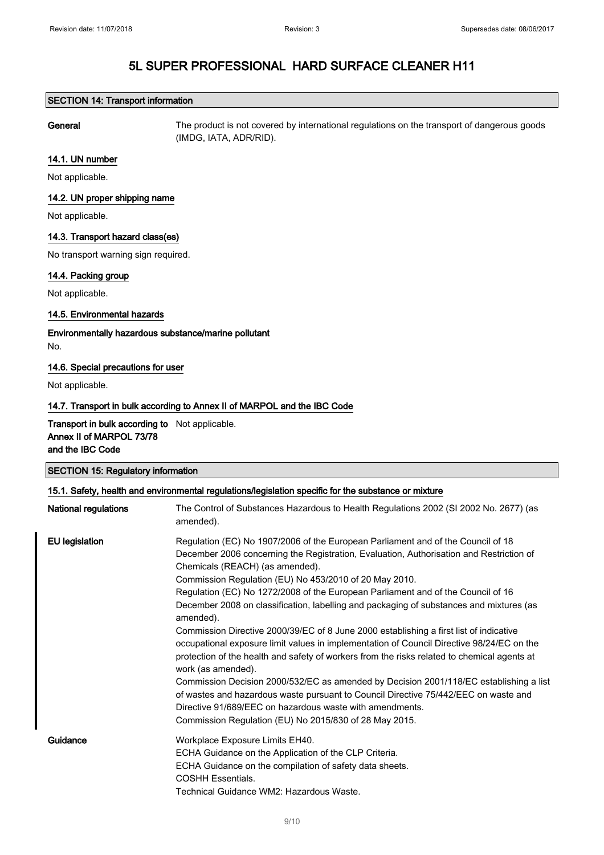### SECTION 14: Transport information

General The product is not covered by international regulations on the transport of dangerous goods (IMDG, IATA, ADR/RID).

#### 14.1. UN number

Not applicable.

### 14.2. UN proper shipping name

Not applicable.

### 14.3. Transport hazard class(es)

No transport warning sign required.

### 14.4. Packing group

Not applicable.

### 14.5. Environmental hazards

Environmentally hazardous substance/marine pollutant No.

#### 14.6. Special precautions for user

Not applicable.

### 14.7. Transport in bulk according to Annex II of MARPOL and the IBC Code

Transport in bulk according to Not applicable. Annex II of MARPOL 73/78 and the IBC Code

| <b>SECTION 15: Regulatory information</b> |                                                                                                                                                                                                                                                                                                                                                                                                                                                                                                                                                                                                                                                                                                                                                                                                                                                                                                                                                                                                                               |  |  |
|-------------------------------------------|-------------------------------------------------------------------------------------------------------------------------------------------------------------------------------------------------------------------------------------------------------------------------------------------------------------------------------------------------------------------------------------------------------------------------------------------------------------------------------------------------------------------------------------------------------------------------------------------------------------------------------------------------------------------------------------------------------------------------------------------------------------------------------------------------------------------------------------------------------------------------------------------------------------------------------------------------------------------------------------------------------------------------------|--|--|
|                                           | 15.1. Safety, health and environmental regulations/legislation specific for the substance or mixture                                                                                                                                                                                                                                                                                                                                                                                                                                                                                                                                                                                                                                                                                                                                                                                                                                                                                                                          |  |  |
| <b>National regulations</b>               | The Control of Substances Hazardous to Health Regulations 2002 (SI 2002 No. 2677) (as<br>amended).                                                                                                                                                                                                                                                                                                                                                                                                                                                                                                                                                                                                                                                                                                                                                                                                                                                                                                                            |  |  |
| EU legislation                            | Regulation (EC) No 1907/2006 of the European Parliament and of the Council of 18<br>December 2006 concerning the Registration, Evaluation, Authorisation and Restriction of<br>Chemicals (REACH) (as amended).<br>Commission Regulation (EU) No 453/2010 of 20 May 2010.<br>Regulation (EC) No 1272/2008 of the European Parliament and of the Council of 16<br>December 2008 on classification, labelling and packaging of substances and mixtures (as<br>amended).<br>Commission Directive 2000/39/EC of 8 June 2000 establishing a first list of indicative<br>occupational exposure limit values in implementation of Council Directive 98/24/EC on the<br>protection of the health and safety of workers from the risks related to chemical agents at<br>work (as amended).<br>Commission Decision 2000/532/EC as amended by Decision 2001/118/EC establishing a list<br>of wastes and hazardous waste pursuant to Council Directive 75/442/EEC on waste and<br>Directive 91/689/EEC on hazardous waste with amendments. |  |  |
| Guidance                                  | Commission Regulation (EU) No 2015/830 of 28 May 2015.<br>Workplace Exposure Limits EH40.<br>ECHA Guidance on the Application of the CLP Criteria.<br>ECHA Guidance on the compilation of safety data sheets.<br><b>COSHH Essentials.</b><br>Technical Guidance WM2: Hazardous Waste.                                                                                                                                                                                                                                                                                                                                                                                                                                                                                                                                                                                                                                                                                                                                         |  |  |